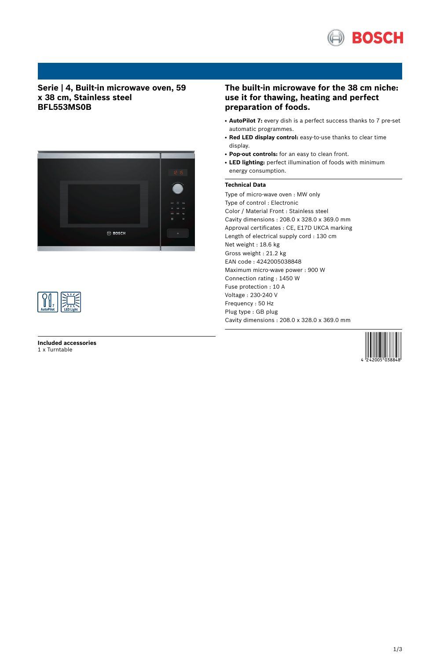

## **Serie | 4, Built-in microwave oven, 59 x 38 cm, Stainless steel BFL553MS0B**





**Included accessories** 1 x Turntable

## **The built-in microwave for the 38 cm niche: use it for thawing, heating and perfect preparation of foods.**

- **AutoPilot 7:** every dish is a perfect success thanks to 7 pre-set automatic programmes.
- **Red LED display control:** easy-to-use thanks to clear time display.
- **Pop-out controls:** for an easy to clean front.
- LED lighting: perfect illumination of foods with minimum energy consumption.

### **Technical Data**

Type of micro-wave oven : MW only Type of control : Electronic Color / Material Front : Stainless steel Cavity dimensions : 208.0 x 328.0 x 369.0 mm Approval certificates : CE, E17D UKCA marking Length of electrical supply cord : 130 cm Net weight : 18.6 kg Gross weight : 21.2 kg EAN code : 4242005038848 Maximum micro-wave power : 900 W Connection rating : 1450 W Fuse protection : 10 A Voltage : 230-240 V Frequency : 50 Hz Plug type : GB plug Cavity dimensions : 208.0 x 328.0 x 369.0 mm

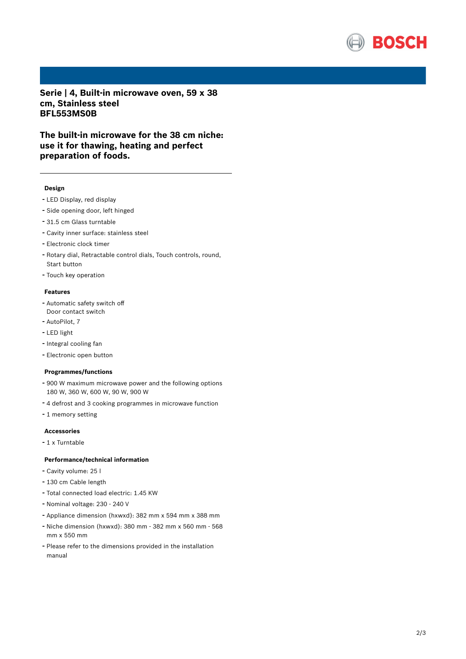

**Serie | 4, Built-in microwave oven, 59 x 38 cm, Stainless steel BFL553MS0B**

**The built-in microwave for the 38 cm niche: use it for thawing, heating and perfect preparation of foods.**

#### **Design**

- LED Display, red display
- Side opening door, left hinged
- 31.5 cm Glass turntable
- Cavity inner surface: stainless steel
- Electronic clock timer
- Rotary dial, Retractable control dials, Touch controls, round, Start button
- Touch key operation

#### **Features**

- Automatic safety switch off Door contact switch
- AutoPilot, <sup>7</sup>
- LED light
- Integral cooling fan
- Electronic open button

### **Programmes/functions**

- <sup>900</sup> <sup>W</sup> maximum microwave power and the following options 180 W, 360 W, 600 W, 90 W, 900 W
- <sup>4</sup> defrost and <sup>3</sup> cooking programmes in microwave function
- <sup>1</sup> memory setting

#### **Accessories**

- <sup>1</sup> <sup>x</sup> Turntable

### **Performance/technical information**

- Cavity volume: <sup>25</sup> <sup>l</sup>
- <sup>130</sup> cm Cable length
- Total connected load electric: 1.45 KW
- Nominal voltage: <sup>230</sup> <sup>240</sup> <sup>V</sup>
- Appliance dimension (hxwxd): 382 mm x 594 mm x 388 mm
- Niche dimension (hxwxd): <sup>380</sup> mm <sup>382</sup> mm <sup>x</sup> <sup>560</sup> mm <sup>568</sup> mm x 550 mm
- Please refer to the dimensions provided in the installation manual